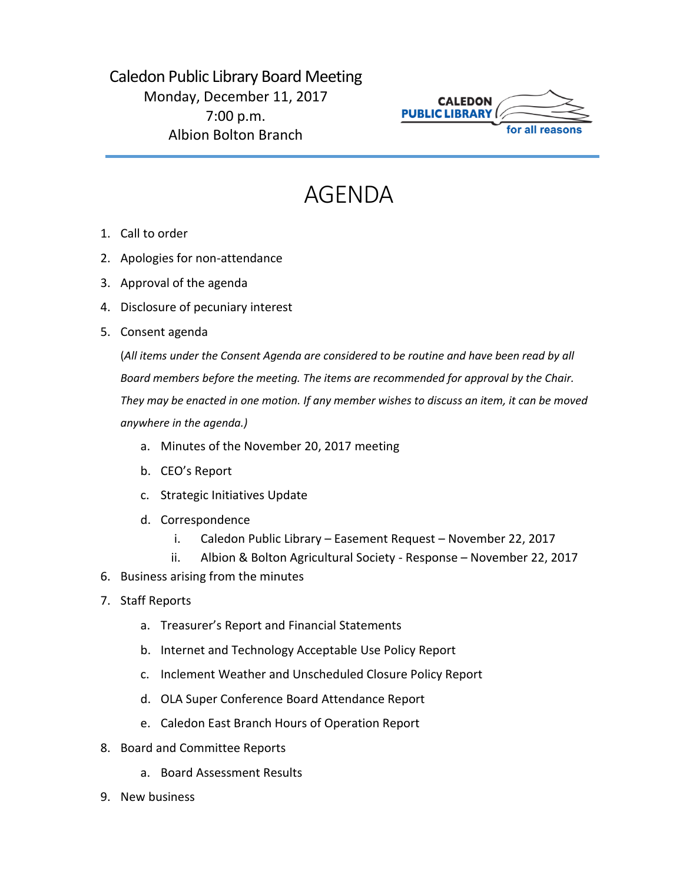## Caledon Public Library Board Meeting Monday, December 11, 2017 7:00 p.m. Albion Bolton Branch



## AGENDA

- 1. Call to order
- 2. Apologies for non-attendance
- 3. Approval of the agenda
- 4. Disclosure of pecuniary interest
- 5. Consent agenda

(*All items under the Consent Agenda are considered to be routine and have been read by all Board members before the meeting. The items are recommended for approval by the Chair. They may be enacted in one motion. If any member wishes to discuss an item, it can be moved anywhere in the agenda.)*

- a. Minutes of the November 20, 2017 meeting
- b. CEO's Report
- c. Strategic Initiatives Update
- d. Correspondence
	- i. Caledon Public Library Easement Request November 22, 2017
	- ii. Albion & Bolton Agricultural Society Response November 22, 2017
- 6. Business arising from the minutes
- 7. Staff Reports
	- a. Treasurer's Report and Financial Statements
	- b. Internet and Technology Acceptable Use Policy Report
	- c. Inclement Weather and Unscheduled Closure Policy Report
	- d. OLA Super Conference Board Attendance Report
	- e. Caledon East Branch Hours of Operation Report
- 8. Board and Committee Reports
	- a. Board Assessment Results
- 9. New business